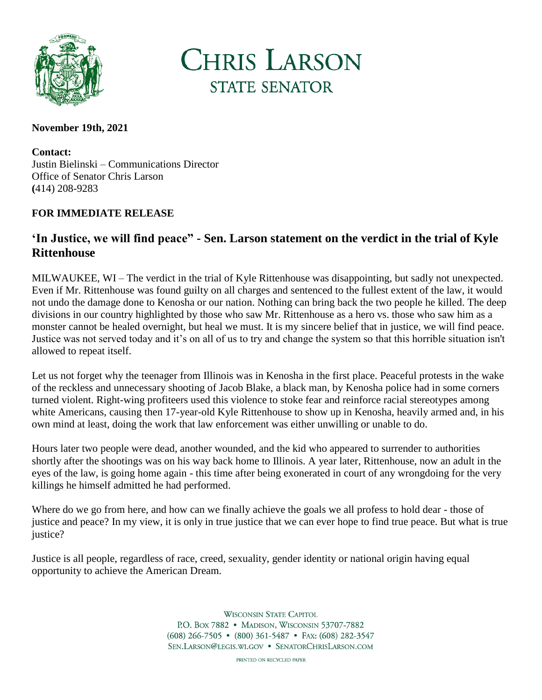

**CHRIS LARSON STATE SENATOR** 

## **November 19th, 2021**

**Contact:** Justin Bielinski – Communications Director Office of Senator Chris Larson **(**414) 208-9283

## **FOR IMMEDIATE RELEASE**

## **'In Justice, we will find peace" - Sen. Larson statement on the verdict in the trial of Kyle Rittenhouse**

MILWAUKEE, WI – The verdict in the trial of Kyle Rittenhouse was disappointing, but sadly not unexpected. Even if Mr. Rittenhouse was found guilty on all charges and sentenced to the fullest extent of the law, it would not undo the damage done to Kenosha or our nation. Nothing can bring back the two people he killed. The deep divisions in our country highlighted by those who saw Mr. Rittenhouse as a hero vs. those who saw him as a monster cannot be healed overnight, but heal we must. It is my sincere belief that in justice, we will find peace. Justice was not served today and it's on all of us to try and change the system so that this horrible situation isn't allowed to repeat itself.

Let us not forget why the teenager from Illinois was in Kenosha in the first place. Peaceful protests in the wake of the reckless and unnecessary shooting of Jacob Blake, a black man, by Kenosha police had in some corners turned violent. Right-wing profiteers used this violence to stoke fear and reinforce racial stereotypes among white Americans, causing then 17-year-old Kyle Rittenhouse to show up in Kenosha, heavily armed and, in his own mind at least, doing the work that law enforcement was either unwilling or unable to do.

Hours later two people were dead, another wounded, and the kid who appeared to surrender to authorities shortly after the shootings was on his way back home to Illinois. A year later, Rittenhouse, now an adult in the eyes of the law, is going home again - this time after being exonerated in court of any wrongdoing for the very killings he himself admitted he had performed.

Where do we go from here, and how can we finally achieve the goals we all profess to hold dear - those of justice and peace? In my view, it is only in true justice that we can ever hope to find true peace. But what is true justice?

Justice is all people, regardless of race, creed, sexuality, gender identity or national origin having equal opportunity to achieve the American Dream.

> **WISCONSIN STATE CAPITOL** P.O. Box 7882 • MADISON, WISCONSIN 53707-7882 (608) 266-7505 • (800) 361-5487 • FAX: (608) 282-3547 SEN.LARSON@LEGIS.WI.GOV . SENATORCHRISLARSON.COM

> > PRINTED ON RECYCLED PAPER